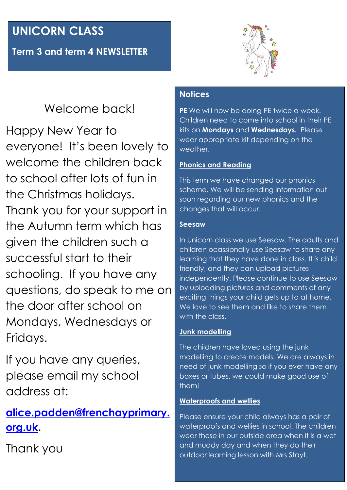# **UNICORN CLASS**

**Term 3 and term 4 NEWSLETTER**



## Welcome back!

Happy New Year to everyone! It's been lovely to welcome the children back to school after lots of fun in the Christmas holidays. Thank you for your support in the Autumn term which has given the children such a successful start to their schooling. If you have any questions, do speak to me on the door after school on Mondays, Wednesdays or Fridays.

If you have any queries, please email my school address at:

## **[alice.padden@frenchayprimary.](mailto:alice.padden@frenchayprimary.org.uk) [org.uk.](mailto:alice.padden@frenchayprimary.org.uk)**

Thank you

### **Notices**

**PE** We will now be doing PE twice a week. Children need to come into school in their PE kits on **Mondays** and **Wednesdays.** Please wear appropriate kit depending on the weather.

### **Phonics and Reading**

This term we have changed our phonics scheme. We will be sending information out soon regarding our new phonics and the changes that will occur.

### **Seesaw**

In Unicorn class we use Seesaw. The adults and children ocassionally use Seesaw to share any learning that they have done in class. It is child friendly, and they can upload pictures independently. Please continue to use Seesaw by uploading pictures and comments of any exciting things your child gets up to at home. We love to see them and like to share them with the class.

### **Junk modelling**

The children have loved using the junk modelling to create models. We are always in need of junk modelling so if you ever have any boxes or tubes, we could make good use of them!

#### **Waterproofs and wellies**

Please ensure your child always has a pair of waterproofs and wellies in school. The children wear these in our outside area when it is a wet and muddy day and when they do their outdoor learning lesson with Mrs Stayt.